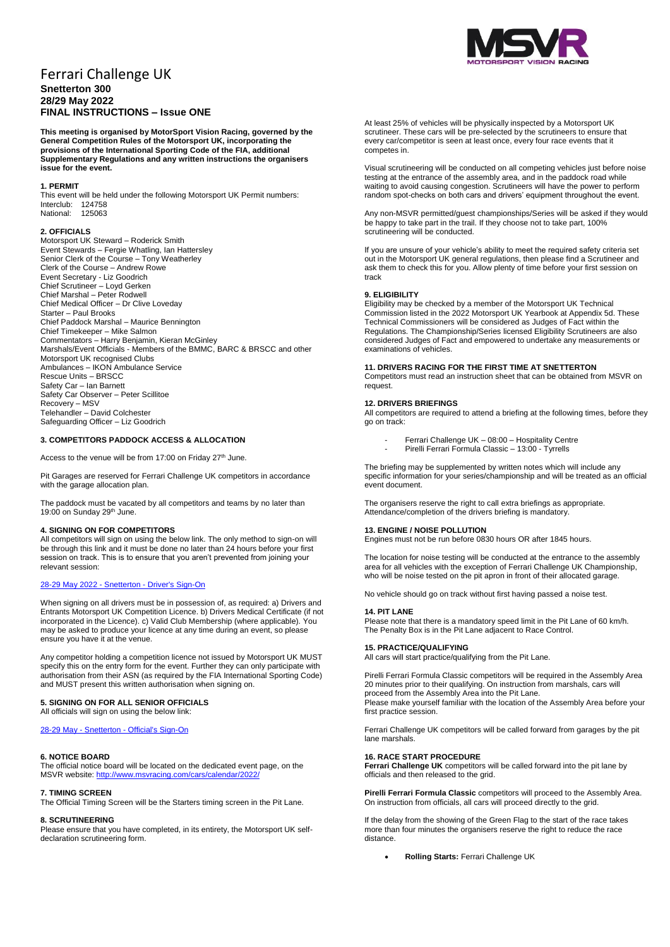# Ferrari Challenge UK **Snetterton 300 28/29 May 2022 FINAL INSTRUCTIONS – Issue ONE**

**This meeting is organised by MotorSport Vision Racing, governed by the General Competition Rules of the Motorsport UK, incorporating the provisions of the International Sporting Code of the FIA, additional Supplementary Regulations and any written instructions the organisers issue for the event.**

### **1. PERMIT**

This event will be held under the following Motorsport UK Permit numbers: Interclub: 124758<br>National: 125063 National:

### **2. OFFICIALS**

Motorsport UK Steward – Roderick Smith Event Stewards – Fergie Whatling, Ian Hattersley Senior Clerk of the Course – Tony Weatherley Clerk of the Course – Andrew Rowe Event Secretary - Liz Goodrich Chief Scrutineer – Loyd Gerken Chief Marshal – Peter Rodwell Chief Medical Officer – Dr Clive Loveday Starter – Paul Brooks Chief Paddock Marshal – Maurice Bennington Chief Timekeeper – Mike Salmon Commentators – Harry Benjamin, Kieran McGinley Marshals/Event Officials - Members of the BMMC, BARC & BRSCC and other Motorsport UK recognised Clubs Ambulances – IKON Ambulance Service Rescue Units – BRSCC Safety Car – Ian Barnett Safety Car Observer – Peter Scillitoe Recovery – MSV Telehandler – David Colchester Safeguarding Officer – Liz Goodrich

# **3. COMPETITORS PADDOCK ACCESS & ALLOCATION**

Access to the venue will be from 17:00 on Friday 27<sup>th</sup> June.

Pit Garages are reserved for Ferrari Challenge UK competitors in accordance with the garage allocation plan.

The paddock must be vacated by all competitors and teams by no later than 19:00 on Sunday 29<sup>th</sup> June.

# **4. SIGNING ON FOR COMPETITORS**

All competitors will sign on using the below link. The only method to sign-on will be through this link and it must be done no later than 24 hours before your first session on track. This is to ensure that you aren't prevented from joining your relevant session:

# [28-29 May 2022 -](https://racing.msv.com/CheckIn/69f0c912-cdea-4c83-8df8-8e3ae01e7ed4) Snetterton - Driver's Sign-On

When signing on all drivers must be in possession of, as required: a) Drivers and Entrants Motorsport UK Competition Licence. b) Drivers Medical Certificate (if not incorporated in the Licence). c) Valid Club Membership (where applicable). You may be asked to produce your licence at any time during an event, so please ensure you have it at the venue.

Any competitor holding a competition licence not issued by Motorsport UK MUST specify this on the entry form for the event. Further they can only participate with authorisation from their ASN (as required by the FIA International Sporting Code) and MUST present this written authorisation when signing on.

# **5. SIGNING ON FOR ALL SENIOR OFFICIALS**

All officials will sign on using the below link:

# 28-29 May - Snetterton - [Official's Sign-On](https://racing.msv.com/CheckIn/Officals/69f0c912-cdea-4c83-8df8-8e3ae01e7ed4)

# **6. NOTICE BOARD**

The official notice board will be located on the dedicated event page, on the MSVR website: http://www.msvracing.com/cars/calendar/202

### **7. TIMING SCREEN**

The Official Timing Screen will be the Starters timing screen in the Pit Lane.

# **8. SCRUTINEERING**

Please ensure that you have completed, in its entirety, the Motorsport UK selfdeclaration scrutineering form.



At least 25% of vehicles will be physically inspected by a Motorsport UK scrutineer. These cars will be pre-selected by the scrutineers to ensure that every car/competitor is seen at least once, every four race events that it competes in.

Visual scrutineering will be conducted on all competing vehicles just before noise testing at the entrance of the assembly area, and in the paddock road while waiting to avoid causing congestion. Scrutineers will have the power to perform random spot-checks on both cars and drivers' equipment throughout the event.

Any non-MSVR permitted/guest championships/Series will be asked if they would be happy to take part in the trail. If they choose not to take part, 100% scrutineering will be conducted.

If you are unsure of your vehicle's ability to meet the required safety criteria set out in the Motorsport UK general regulations, then please find a Scrutineer and ask them to check this for you. Allow plenty of time before your first session on track

### **9. ELIGIBILITY**

Eligibility may be checked by a member of the Motorsport UK Technical Commission listed in the 2022 Motorsport UK Yearbook at Appendix 5d. These Technical Commissioners will be considered as Judges of Fact within the Regulations. The Championship/Series licensed Eligibility Scrutineers are also considered Judges of Fact and empowered to undertake any measurements or examinations of vehicles.

# **11. DRIVERS RACING FOR THE FIRST TIME AT SNETTERTON**

Competitors must read an instruction sheet that can be obtained from MSVR on request.

# **12. DRIVERS BRIEFINGS**

All competitors are required to attend a briefing at the following times, before they go on track:

- Ferrari Challenge UK 08:00 Hospitality Centre
- Pirelli Ferrari Formula Classic 13:00 Tyrrells

The briefing may be supplemented by written notes which will include any specific information for your series/championship and will be treated as an official event document.

The organisers reserve the right to call extra briefings as appropriate. Attendance/completion of the drivers briefing is mandatory.

### **13. ENGINE / NOISE POLLUTION**

Engines must not be run before 0830 hours OR after 1845 hours.

The location for noise testing will be conducted at the entrance to the assembly area for all vehicles with the exception of Ferrari Challenge UK Championship, who will be noise tested on the pit apron in front of their allocated garage.

No vehicle should go on track without first having passed a noise test.

#### **14. PIT LANE**

Please note that there is a mandatory speed limit in the Pit Lane of 60 km/h. The Penalty Box is in the Pit Lane adjacent to Race Control.

### **15. PRACTICE/QUALIFYING**

All cars will start practice/qualifying from the Pit Lane.

Pirelli Ferrari Formula Classic competitors will be required in the Assembly Area 20 minutes prior to their qualifying. On instruction from marshals, cars will proceed from the Assembly Area into the Pit Lane.

Please make yourself familiar with the location of the Assembly Area before your first practice session.

Ferrari Challenge UK competitors will be called forward from garages by the pit lane marshals.

# **16. RACE START PROCEDURE**

**Ferrari Challenge UK** competitors will be called forward into the pit lane by officials and then released to the grid.

**Pirelli Ferrari Formula Classic** competitors will proceed to the Assembly Area. On instruction from officials, all cars will proceed directly to the grid.

If the delay from the showing of the Green Flag to the start of the race takes more than four minutes the organisers reserve the right to reduce the race distance.

**Rolling Starts:** Ferrari Challenge UK